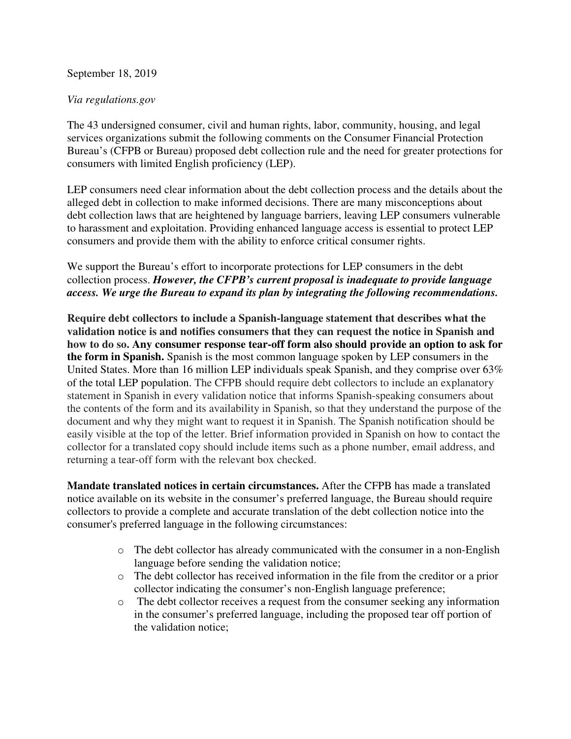## September 18, 2019

## *Via regulations.gov*

The 43 undersigned consumer, civil and human rights, labor, community, housing, and legal services organizations submit the following comments on the Consumer Financial Protection Bureau's (CFPB or Bureau) proposed debt collection rule and the need for greater protections for consumers with limited English proficiency (LEP).

LEP consumers need clear information about the debt collection process and the details about the alleged debt in collection to make informed decisions. There are many misconceptions about debt collection laws that are heightened by language barriers, leaving LEP consumers vulnerable to harassment and exploitation. Providing enhanced language access is essential to protect LEP consumers and provide them with the ability to enforce critical consumer rights.

We support the Bureau's effort to incorporate protections for LEP consumers in the debt collection process. *However, the CFPB's current proposal is inadequate to provide language access. We urge the Bureau to expand its plan by integrating the following recommendations.* 

**Require debt collectors to include a Spanish-language statement that describes what the validation notice is and notifies consumers that they can request the notice in Spanish and how to do so. Any consumer response tear-off form also should provide an option to ask for the form in Spanish.** Spanish is the most common language spoken by LEP consumers in the United States. More than 16 million LEP individuals speak Spanish, and they comprise over 63% of the total LEP population. The CFPB should require debt collectors to include an explanatory statement in Spanish in every validation notice that informs Spanish-speaking consumers about the contents of the form and its availability in Spanish, so that they understand the purpose of the document and why they might want to request it in Spanish. The Spanish notification should be easily visible at the top of the letter. Brief information provided in Spanish on how to contact the collector for a translated copy should include items such as a phone number, email address, and returning a tear-off form with the relevant box checked.

**Mandate translated notices in certain circumstances.** After the CFPB has made a translated notice available on its website in the consumer's preferred language, the Bureau should require collectors to provide a complete and accurate translation of the debt collection notice into the consumer's preferred language in the following circumstances:

- o The debt collector has already communicated with the consumer in a non-English language before sending the validation notice;
- o The debt collector has received information in the file from the creditor or a prior collector indicating the consumer's non-English language preference;
- o The debt collector receives a request from the consumer seeking any information in the consumer's preferred language, including the proposed tear off portion of the validation notice;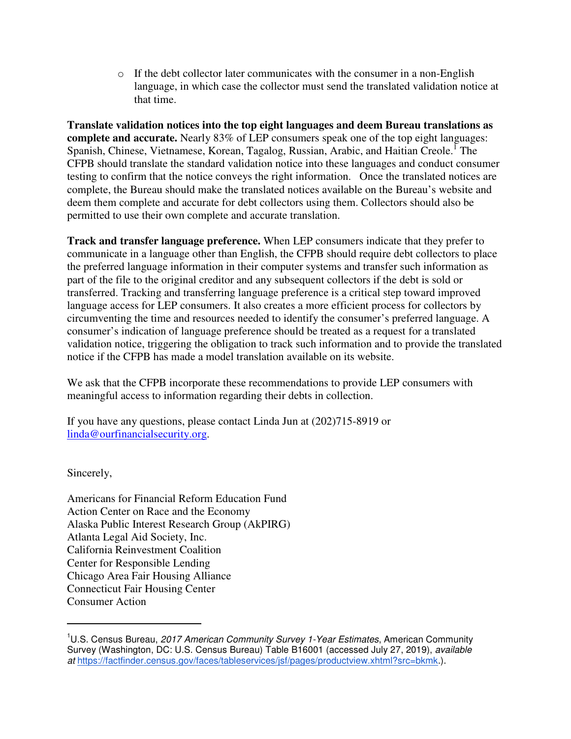$\circ$  If the debt collector later communicates with the consumer in a non-English language, in which case the collector must send the translated validation notice at that time.

**Translate validation notices into the top eight languages and deem Bureau translations as complete and accurate.** Nearly 83% of LEP consumers speak one of the top eight languages: Spanish, Chinese, Vietnamese, Korean, Tagalog, Russian, Arabic, and Haitian Creole.<sup>1</sup> The CFPB should translate the standard validation notice into these languages and conduct consumer testing to confirm that the notice conveys the right information. Once the translated notices are complete, the Bureau should make the translated notices available on the Bureau's website and deem them complete and accurate for debt collectors using them. Collectors should also be permitted to use their own complete and accurate translation.

**Track and transfer language preference.** When LEP consumers indicate that they prefer to communicate in a language other than English, the CFPB should require debt collectors to place the preferred language information in their computer systems and transfer such information as part of the file to the original creditor and any subsequent collectors if the debt is sold or transferred. Tracking and transferring language preference is a critical step toward improved language access for LEP consumers. It also creates a more efficient process for collectors by circumventing the time and resources needed to identify the consumer's preferred language. A consumer's indication of language preference should be treated as a request for a translated validation notice, triggering the obligation to track such information and to provide the translated notice if the CFPB has made a model translation available on its website.

We ask that the CFPB incorporate these recommendations to provide LEP consumers with meaningful access to information regarding their debts in collection.

If you have any questions, please contact Linda Jun at (202)715-8919 or linda@ourfinancialsecurity.org.

Sincerely,

-

Americans for Financial Reform Education Fund Action Center on Race and the Economy Alaska Public Interest Research Group (AkPIRG) Atlanta Legal Aid Society, Inc. California Reinvestment Coalition Center for Responsible Lending Chicago Area Fair Housing Alliance Connecticut Fair Housing Center Consumer Action

<sup>&</sup>lt;sup>1</sup>U.S. Census Bureau, 2017 American Community Survey 1-Year Estimates, American Community Survey (Washington, DC: U.S. Census Bureau) Table B16001 (accessed July 27, 2019), *available* at https://factfinder.census.gov/faces/tableservices/jsf/pages/productview.xhtml?src=bkmk.).